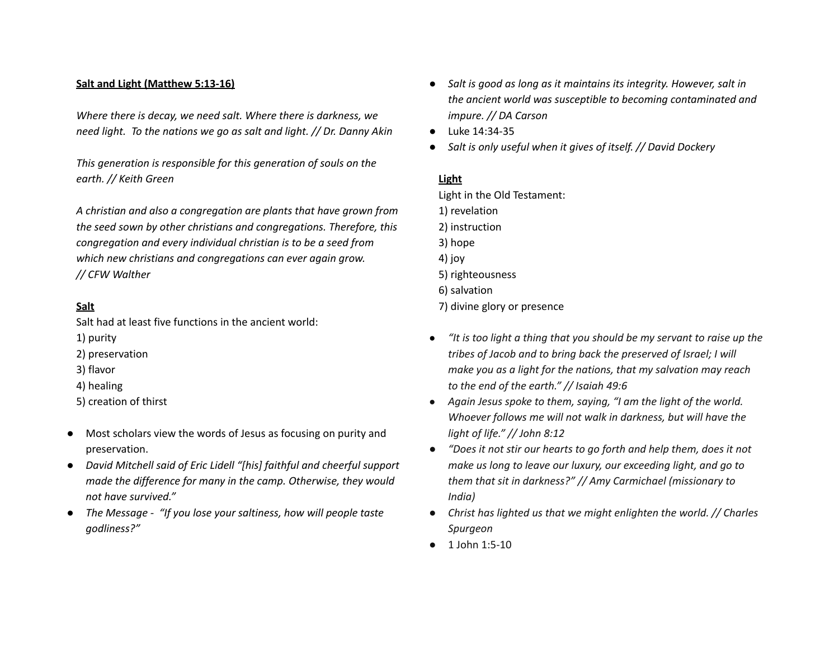## **Salt and Light (Matthew 5:13-16)**

*Where there is decay, we need salt. Where there is darkness, we need light. To the nations we go as salt and light. // Dr. Danny Akin*

*This generation is responsible for this generation of souls on the earth. // Keith Green*

*A christian and also a congregation are plants that have grown from the seed sown by other christians and congregations. Therefore, this congregation and every individual christian is to be a seed from which new christians and congregations can ever again grow. // CFW Walther*

## **Salt**

Salt had at least five functions in the ancient world:

- 1) purity
- 2) preservation
- 3) flavor
- 4) healing
- 5) creation of thirst
- Most scholars view the words of Jesus as focusing on purity and preservation.
- *● David Mitchell said of Eric Lidell "[his] faithful and cheerful support made the difference for many in the camp. Otherwise, they would not have survived."*
- *● The Message - "If you lose your saltiness, how will people taste godliness?"*
- *● Salt is good as long as it maintains its integrity. However, salt in the ancient world was susceptible to becoming contaminated and impure. // DA Carson*
- Luke 14:34-35
- *● Salt is only useful when it gives of itself. // David Dockery*

## **Light**

Light in the Old Testament: 1) revelation 2) instruction 3) hope 4) joy 5) righteousness 6) salvation 7) divine glory or presence

- *● "It is too light a thing that you should be my servant to raise up the tribes of Jacob and to bring back the preserved of Israel; I will make you as a light for the nations, that my salvation may reach to the end of the earth." // Isaiah 49:6*
- *● Again Jesus spoke to them, saying, "I am the light of the world. Whoever follows me will not walk in darkness, but will have the light of life." // John 8:12*
- *● "Does it not stir our hearts to go forth and help them, does it not make us long to leave our luxury, our exceeding light, and go to them that sit in darkness?" // Amy Carmichael (missionary to India)*
- *● Christ has lighted us that we might enlighten the world. // Charles Spurgeon*
- 1 John 1:5-10